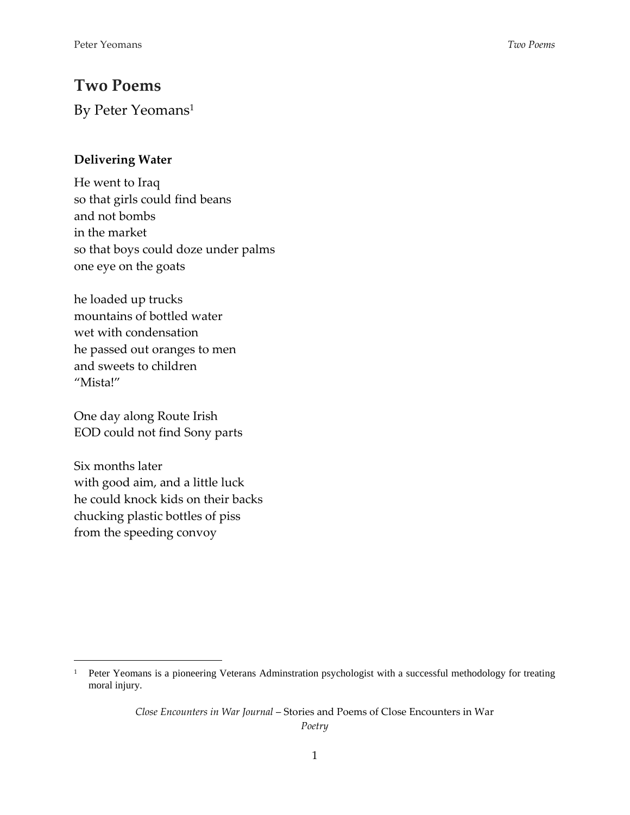## **Two Poems**

By Peter Yeomans<sup>1</sup>

## **Delivering Water**

He went to Iraq so that girls could find beans and not bombs in the market so that boys could doze under palms one eye on the goats

he loaded up trucks mountains of bottled water wet with condensation he passed out oranges to men and sweets to children "Mista!"

One day along Route Irish EOD could not find Sony parts

Six months later with good aim, and a little luck he could knock kids on their backs chucking plastic bottles of piss from the speeding convoy

 $\overline{a}$ 

*Close Encounters in War Journal* – Stories and Poems of Close Encounters in War *Poetry*

<sup>&</sup>lt;sup>1</sup> Peter Yeomans is a pioneering Veterans Adminstration psychologist with a successful methodology for treating moral injury.